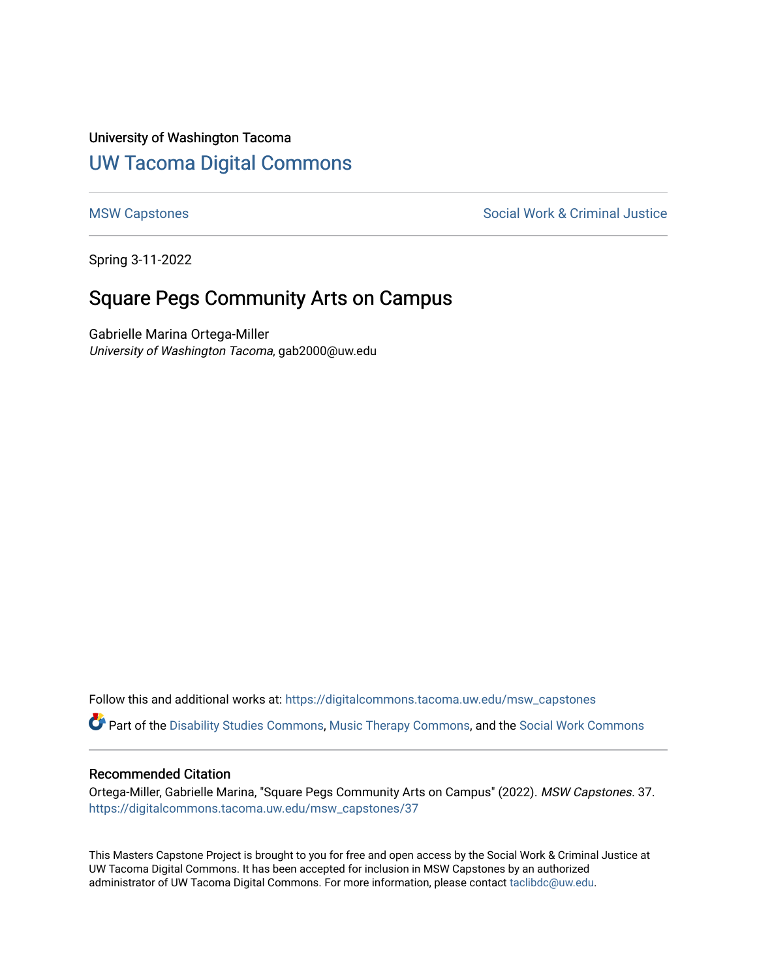#### University of Washington Tacoma

## [UW Tacoma Digital Commons](https://digitalcommons.tacoma.uw.edu/)

[MSW Capstones](https://digitalcommons.tacoma.uw.edu/msw_capstones) **Social Work & Criminal Justice** Social Work & Criminal Justice

Spring 3-11-2022

# Square Pegs Community Arts on Campus

Gabrielle Marina Ortega-Miller University of Washington Tacoma, gab2000@uw.edu

Follow this and additional works at: [https://digitalcommons.tacoma.uw.edu/msw\\_capstones](https://digitalcommons.tacoma.uw.edu/msw_capstones?utm_source=digitalcommons.tacoma.uw.edu%2Fmsw_capstones%2F37&utm_medium=PDF&utm_campaign=PDFCoverPages)

Part of the [Disability Studies Commons](https://network.bepress.com/hgg/discipline/1417?utm_source=digitalcommons.tacoma.uw.edu%2Fmsw_capstones%2F37&utm_medium=PDF&utm_campaign=PDFCoverPages), [Music Therapy Commons](https://network.bepress.com/hgg/discipline/1248?utm_source=digitalcommons.tacoma.uw.edu%2Fmsw_capstones%2F37&utm_medium=PDF&utm_campaign=PDFCoverPages), and the [Social Work Commons](https://network.bepress.com/hgg/discipline/713?utm_source=digitalcommons.tacoma.uw.edu%2Fmsw_capstones%2F37&utm_medium=PDF&utm_campaign=PDFCoverPages)

#### Recommended Citation

Ortega-Miller, Gabrielle Marina, "Square Pegs Community Arts on Campus" (2022). MSW Capstones. 37. [https://digitalcommons.tacoma.uw.edu/msw\\_capstones/37](https://digitalcommons.tacoma.uw.edu/msw_capstones/37?utm_source=digitalcommons.tacoma.uw.edu%2Fmsw_capstones%2F37&utm_medium=PDF&utm_campaign=PDFCoverPages) 

This Masters Capstone Project is brought to you for free and open access by the Social Work & Criminal Justice at UW Tacoma Digital Commons. It has been accepted for inclusion in MSW Capstones by an authorized administrator of UW Tacoma Digital Commons. For more information, please contact [taclibdc@uw.edu.](mailto:taclibdc@uw.edu)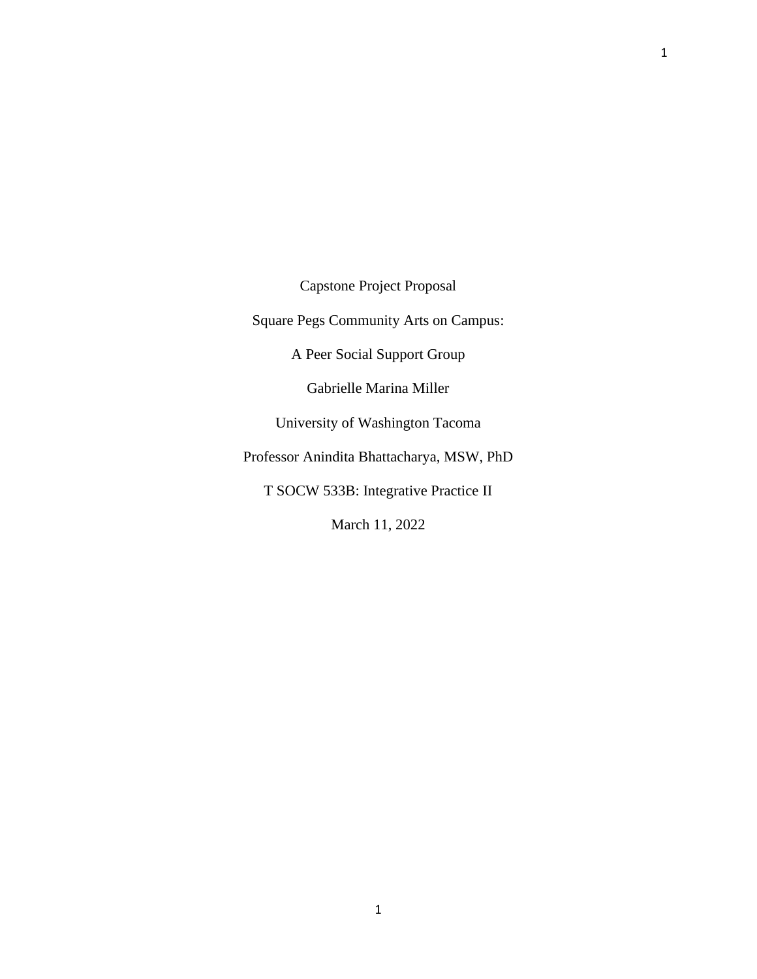Capstone Project Proposal

Square Pegs Community Arts on Campus:

A Peer Social Support Group

Gabrielle Marina Miller

University of Washington Tacoma

Professor Anindita Bhattacharya, MSW, PhD

T SOCW 533B: Integrative Practice II

March 11, 2022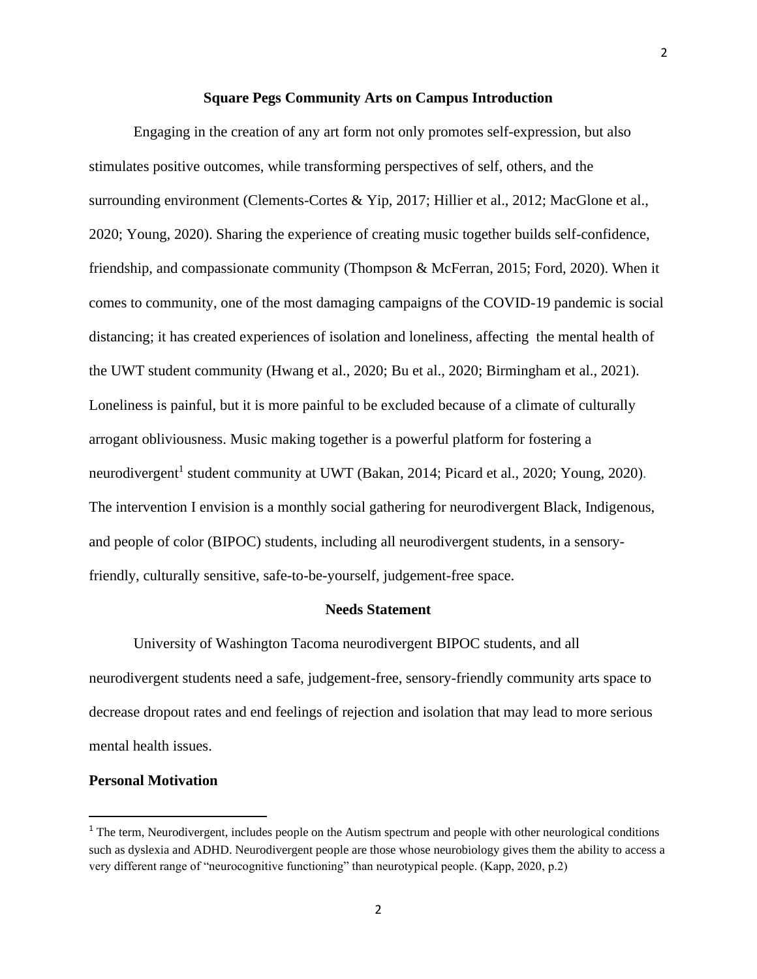#### **Square Pegs Community Arts on Campus Introduction**

Engaging in the creation of any art form not only promotes self-expression, but also stimulates positive outcomes, while transforming perspectives of self, others, and the surrounding environment (Clements-Cortes & Yip, 2017; Hillier et al., 2012; MacGlone et al., 2020; Young, 2020). Sharing the experience of creating music together builds self-confidence, friendship, and compassionate community (Thompson & McFerran, 2015; Ford, 2020). When it comes to community, one of the most damaging campaigns of the COVID-19 pandemic is social distancing; it has created experiences of isolation and loneliness, affecting the mental health of the UWT student community (Hwang et al., 2020; Bu et al., 2020; Birmingham et al., 2021). Loneliness is painful, but it is more painful to be excluded because of a climate of culturally arrogant obliviousness. Music making together is a powerful platform for fostering a neurodivergent<sup>1</sup> student community at UWT (Bakan, 2014; Picard et al., 2020; Young, 2020). The intervention I envision is a monthly social gathering for neurodivergent Black, Indigenous, and people of color (BIPOC) students, including all neurodivergent students, in a sensoryfriendly, culturally sensitive, safe-to-be-yourself, judgement-free space.

#### **Needs Statement**

University of Washington Tacoma neurodivergent BIPOC students, and all neurodivergent students need a safe, judgement-free, sensory-friendly community arts space to decrease dropout rates and end feelings of rejection and isolation that may lead to more serious mental health issues.

#### **Personal Motivation**

<sup>&</sup>lt;sup>1</sup> The term, Neurodivergent, includes people on the Autism spectrum and people with other neurological conditions such as dyslexia and ADHD. Neurodivergent people are those whose neurobiology gives them the ability to access a very different range of "neurocognitive functioning" than neurotypical people. (Kapp, 2020, p.2)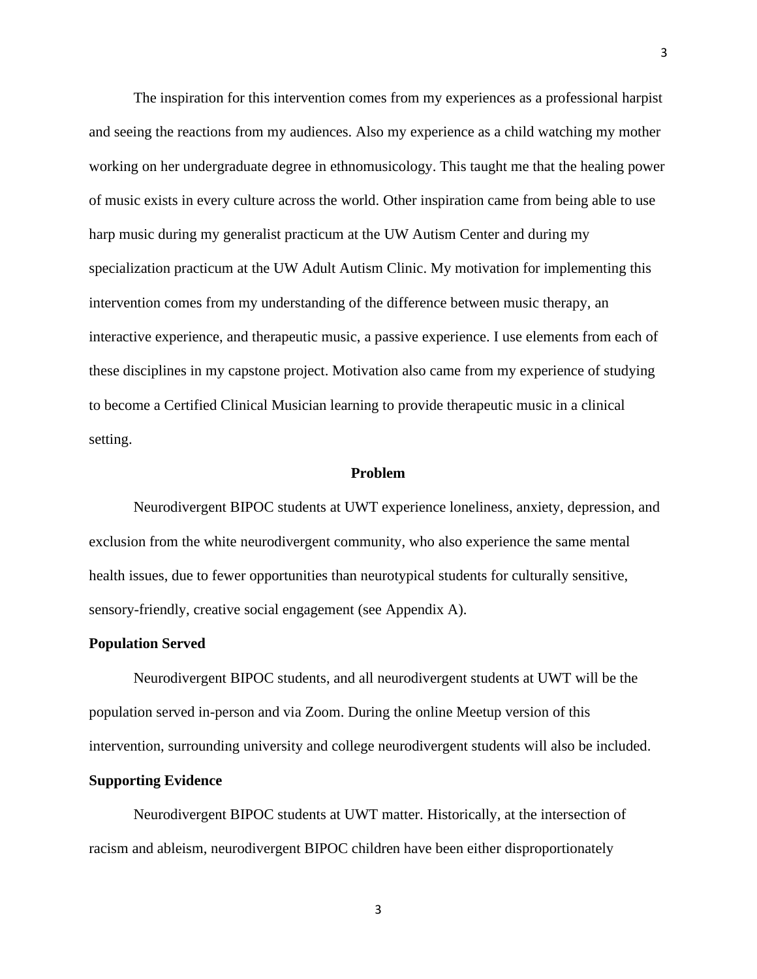The inspiration for this intervention comes from my experiences as a professional harpist and seeing the reactions from my audiences. Also my experience as a child watching my mother working on her undergraduate degree in ethnomusicology. This taught me that the healing power of music exists in every culture across the world. Other inspiration came from being able to use harp music during my generalist practicum at the UW Autism Center and during my specialization practicum at the UW Adult Autism Clinic. My motivation for implementing this intervention comes from my understanding of the difference between music therapy, an interactive experience, and therapeutic music, a passive experience. I use elements from each of these disciplines in my capstone project. Motivation also came from my experience of studying to become a Certified Clinical Musician learning to provide therapeutic music in a clinical setting.

#### **Problem**

Neurodivergent BIPOC students at UWT experience loneliness, anxiety, depression, and exclusion from the white neurodivergent community, who also experience the same mental health issues, due to fewer opportunities than neurotypical students for culturally sensitive, sensory-friendly, creative social engagement (see Appendix A).

#### **Population Served**

Neurodivergent BIPOC students, and all neurodivergent students at UWT will be the population served in-person and via Zoom. During the online Meetup version of this intervention, surrounding university and college neurodivergent students will also be included.

#### **Supporting Evidence**

Neurodivergent BIPOC students at UWT matter. Historically, at the intersection of racism and ableism, neurodivergent BIPOC children have been either disproportionately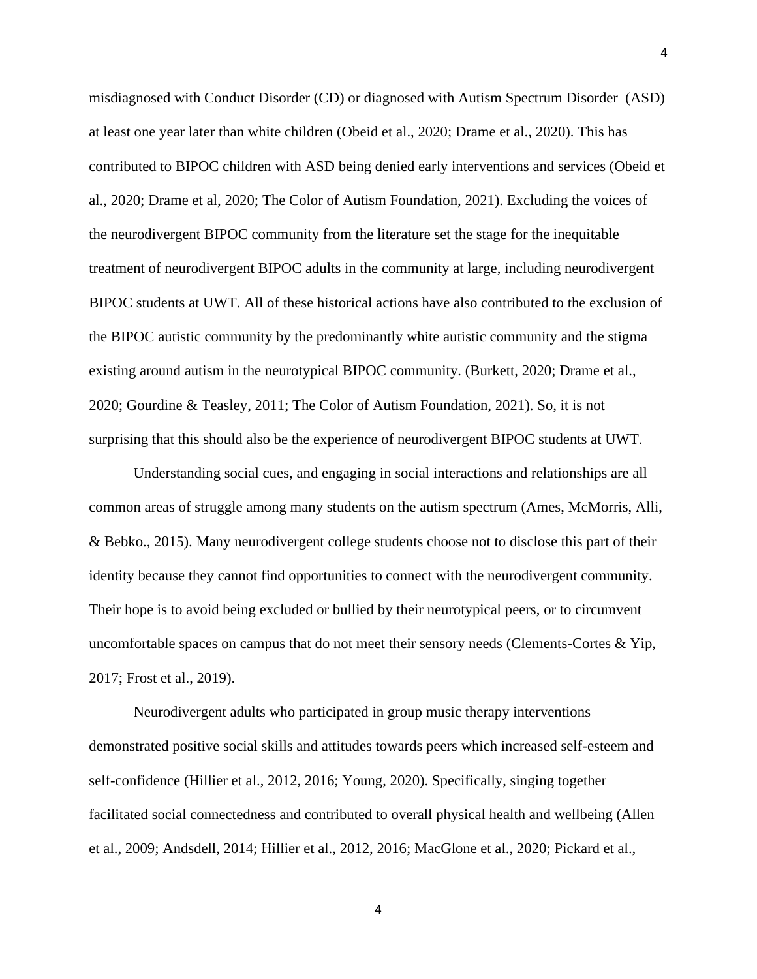misdiagnosed with Conduct Disorder (CD) or diagnosed with Autism Spectrum Disorder (ASD) at least one year later than white children (Obeid et al., 2020; Drame et al., 2020). This has contributed to BIPOC children with ASD being denied early interventions and services (Obeid et al., 2020; Drame et al, 2020; The Color of Autism Foundation, 2021). Excluding the voices of the neurodivergent BIPOC community from the literature set the stage for the inequitable treatment of neurodivergent BIPOC adults in the community at large, including neurodivergent BIPOC students at UWT. All of these historical actions have also contributed to the exclusion of the BIPOC autistic community by the predominantly white autistic community and the stigma existing around autism in the neurotypical BIPOC community. (Burkett, 2020; Drame et al., 2020; Gourdine & Teasley, 2011; The Color of Autism Foundation, 2021). So, it is not surprising that this should also be the experience of neurodivergent BIPOC students at UWT.

Understanding social cues, and engaging in social interactions and relationships are all common areas of struggle among many students on the autism spectrum (Ames, McMorris, Alli, & Bebko., 2015). Many neurodivergent college students choose not to disclose this part of their identity because they cannot find opportunities to connect with the neurodivergent community. Their hope is to avoid being excluded or bullied by their neurotypical peers, or to circumvent uncomfortable spaces on campus that do not meet their sensory needs (Clements-Cortes & Yip, 2017; Frost et al., 2019).

Neurodivergent adults who participated in group music therapy interventions demonstrated positive social skills and attitudes towards peers which increased self-esteem and self-confidence (Hillier et al., 2012, 2016; Young, 2020). Specifically, singing together facilitated social connectedness and contributed to overall physical health and wellbeing (Allen et al., 2009; Andsdell, 2014; Hillier et al., 2012, 2016; MacGlone et al., 2020; Pickard et al.,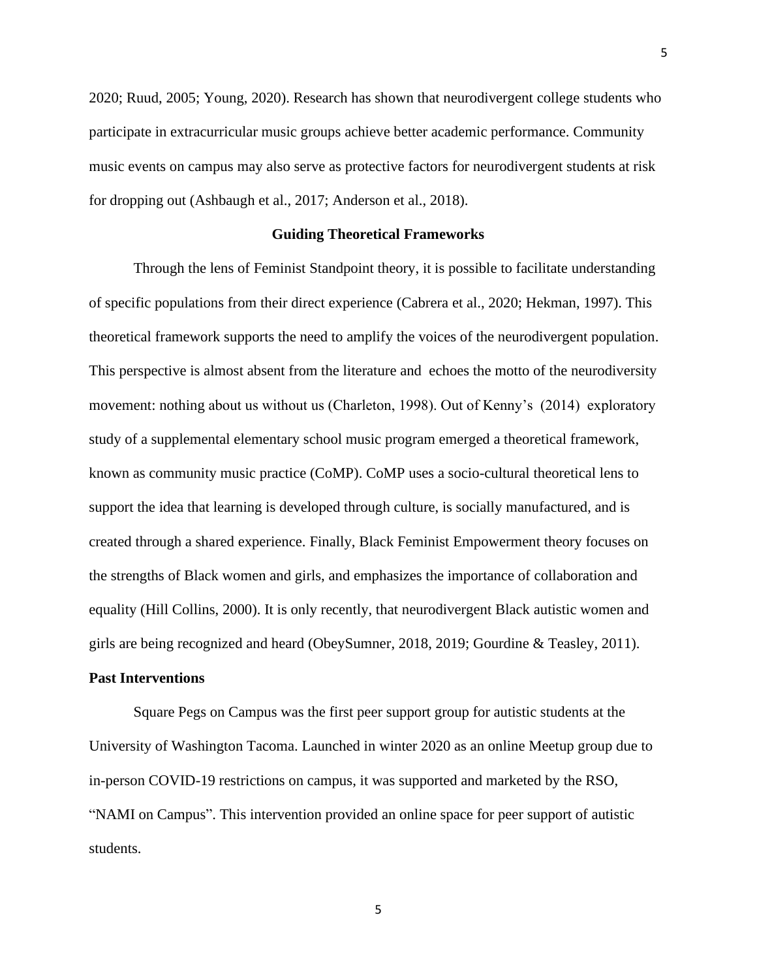2020; Ruud, 2005; Young, 2020). Research has shown that neurodivergent college students who participate in extracurricular music groups achieve better academic performance. Community music events on campus may also serve as protective factors for neurodivergent students at risk for dropping out (Ashbaugh et al., 2017; Anderson et al., 2018).

#### **Guiding Theoretical Frameworks**

Through the lens of Feminist Standpoint theory, it is possible to facilitate understanding of specific populations from their direct experience (Cabrera et al., 2020; Hekman, 1997). This theoretical framework supports the need to amplify the voices of the neurodivergent population. This perspective is almost absent from the literature and echoes the motto of the neurodiversity movement: nothing about us without us (Charleton, 1998). Out of Kenny's (2014) exploratory study of a supplemental elementary school music program emerged a theoretical framework, known as community music practice (CoMP). CoMP uses a socio-cultural theoretical lens to support the idea that learning is developed through culture, is socially manufactured, and is created through a shared experience. Finally, Black Feminist Empowerment theory focuses on the strengths of Black women and girls, and emphasizes the importance of collaboration and equality (Hill Collins, 2000). It is only recently, that neurodivergent Black autistic women and girls are being recognized and heard (ObeySumner, 2018, 2019; Gourdine & Teasley, 2011).

#### **Past Interventions**

Square Pegs on Campus was the first peer support group for autistic students at the University of Washington Tacoma. Launched in winter 2020 as an online Meetup group due to in-person COVID-19 restrictions on campus, it was supported and marketed by the RSO, "NAMI on Campus". This intervention provided an online space for peer support of autistic students.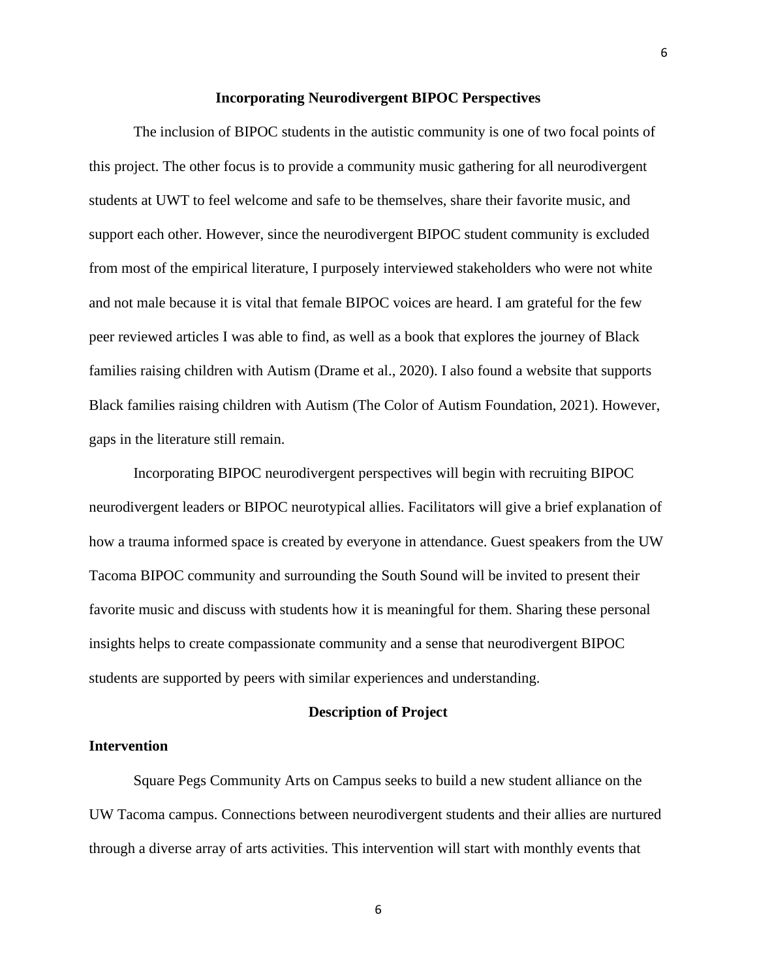#### **Incorporating Neurodivergent BIPOC Perspectives**

The inclusion of BIPOC students in the autistic community is one of two focal points of this project. The other focus is to provide a community music gathering for all neurodivergent students at UWT to feel welcome and safe to be themselves, share their favorite music, and support each other. However, since the neurodivergent BIPOC student community is excluded from most of the empirical literature, I purposely interviewed stakeholders who were not white and not male because it is vital that female BIPOC voices are heard. I am grateful for the few peer reviewed articles I was able to find, as well as a book that explores the journey of Black families raising children with Autism (Drame et al., 2020). I also found a website that supports Black families raising children with Autism (The Color of Autism Foundation, 2021). However, gaps in the literature still remain.

Incorporating BIPOC neurodivergent perspectives will begin with recruiting BIPOC neurodivergent leaders or BIPOC neurotypical allies. Facilitators will give a brief explanation of how a trauma informed space is created by everyone in attendance. Guest speakers from the UW Tacoma BIPOC community and surrounding the South Sound will be invited to present their favorite music and discuss with students how it is meaningful for them. Sharing these personal insights helps to create compassionate community and a sense that neurodivergent BIPOC students are supported by peers with similar experiences and understanding.

#### **Description of Project**

#### **Intervention**

Square Pegs Community Arts on Campus seeks to build a new student alliance on the UW Tacoma campus. Connections between neurodivergent students and their allies are nurtured through a diverse array of arts activities. This intervention will start with monthly events that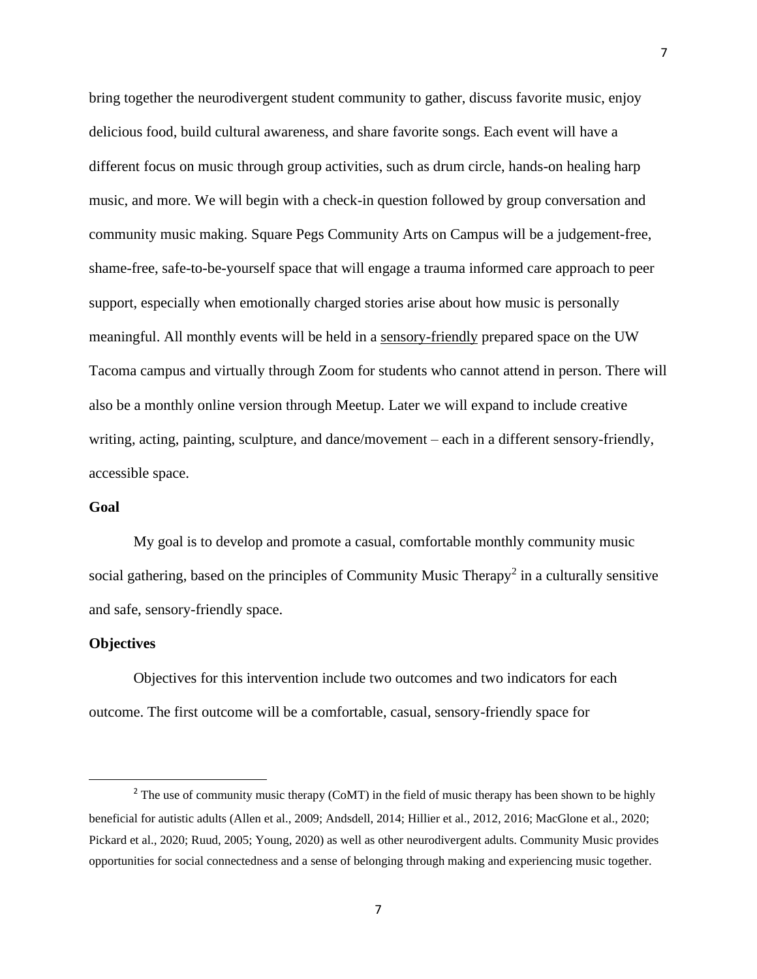bring together the neurodivergent student community to gather, discuss favorite music, enjoy delicious food, build cultural awareness, and share favorite songs. Each event will have a different focus on music through group activities, such as drum circle, hands-on healing harp music, and more. We will begin with a check-in question followed by group conversation and community music making. Square Pegs Community Arts on Campus will be a judgement-free, shame-free, safe-to-be-yourself space that will engage a trauma informed care approach to peer support, especially when emotionally charged stories arise about how music is personally meaningful. All monthly events will be held in a sensory-friendly prepared space on the UW Tacoma campus and virtually through Zoom for students who cannot attend in person. There will also be a monthly online version through Meetup. Later we will expand to include creative writing, acting, painting, sculpture, and dance/movement – each in a different sensory-friendly, accessible space.

#### **Goal**

My goal is to develop and promote a casual, comfortable monthly community music social gathering, based on the principles of Community Music Therapy<sup>2</sup> in a culturally sensitive and safe, sensory-friendly space.

#### **Objectives**

Objectives for this intervention include two outcomes and two indicators for each outcome. The first outcome will be a comfortable, casual, sensory-friendly space for

<sup>&</sup>lt;sup>2</sup> The use of community music therapy (CoMT) in the field of music therapy has been shown to be highly beneficial for autistic adults (Allen et al., 2009; Andsdell, 2014; Hillier et al., 2012, 2016; MacGlone et al., 2020; Pickard et al., 2020; Ruud, 2005; Young, 2020) as well as other neurodivergent adults. Community Music provides opportunities for social connectedness and a sense of belonging through making and experiencing music together.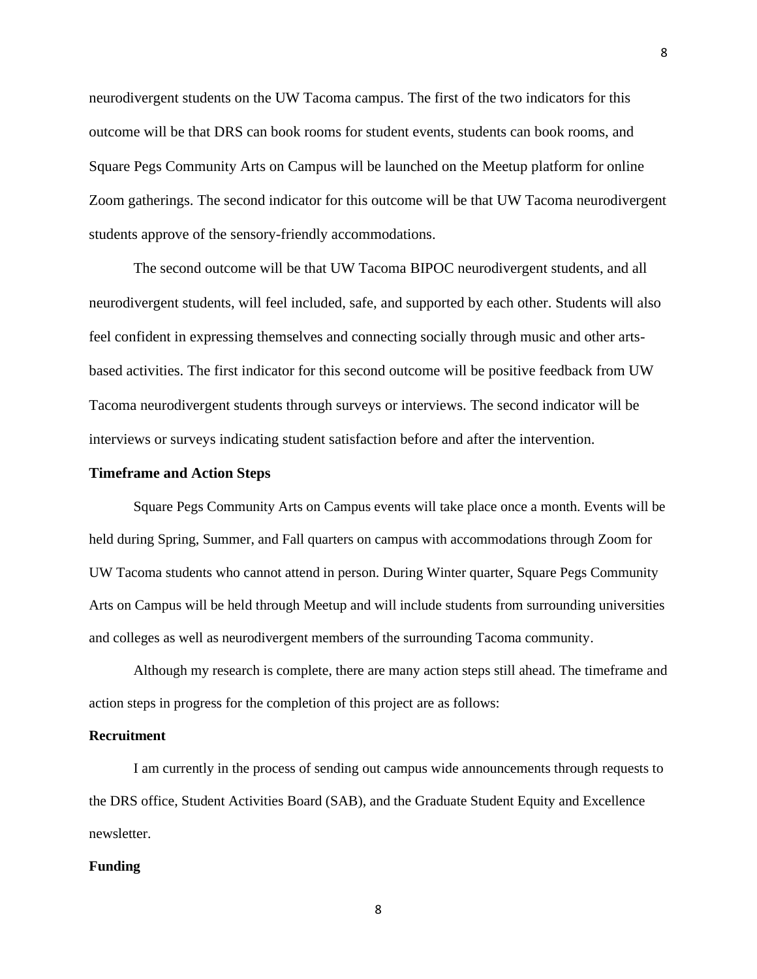neurodivergent students on the UW Tacoma campus. The first of the two indicators for this outcome will be that DRS can book rooms for student events, students can book rooms, and Square Pegs Community Arts on Campus will be launched on the Meetup platform for online Zoom gatherings. The second indicator for this outcome will be that UW Tacoma neurodivergent students approve of the sensory-friendly accommodations.

The second outcome will be that UW Tacoma BIPOC neurodivergent students, and all neurodivergent students, will feel included, safe, and supported by each other. Students will also feel confident in expressing themselves and connecting socially through music and other artsbased activities. The first indicator for this second outcome will be positive feedback from UW Tacoma neurodivergent students through surveys or interviews. The second indicator will be interviews or surveys indicating student satisfaction before and after the intervention.

#### **Timeframe and Action Steps**

Square Pegs Community Arts on Campus events will take place once a month. Events will be held during Spring, Summer, and Fall quarters on campus with accommodations through Zoom for UW Tacoma students who cannot attend in person. During Winter quarter, Square Pegs Community Arts on Campus will be held through Meetup and will include students from surrounding universities and colleges as well as neurodivergent members of the surrounding Tacoma community.

Although my research is complete, there are many action steps still ahead. The timeframe and action steps in progress for the completion of this project are as follows:

#### **Recruitment**

I am currently in the process of sending out campus wide announcements through requests to the DRS office, Student Activities Board (SAB), and the Graduate Student Equity and Excellence newsletter.

#### **Funding**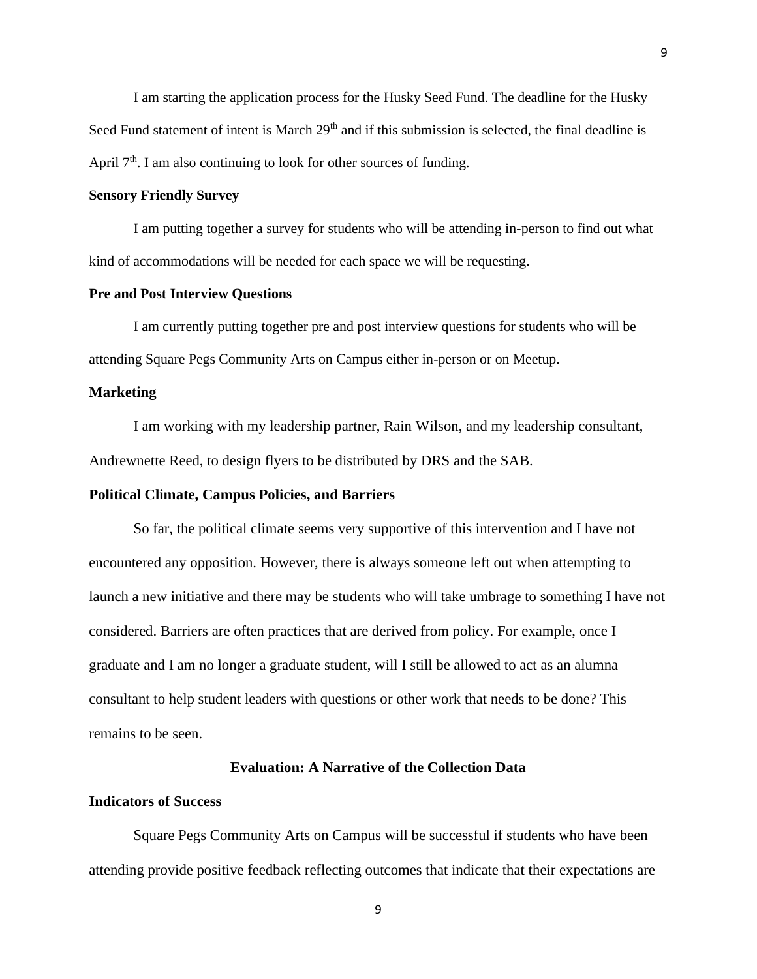I am starting the application process for the Husky Seed Fund. The deadline for the Husky Seed Fund statement of intent is March 29<sup>th</sup> and if this submission is selected, the final deadline is April  $7<sup>th</sup>$ . I am also continuing to look for other sources of funding.

#### **Sensory Friendly Survey**

I am putting together a survey for students who will be attending in-person to find out what kind of accommodations will be needed for each space we will be requesting.

#### **Pre and Post Interview Questions**

I am currently putting together pre and post interview questions for students who will be attending Square Pegs Community Arts on Campus either in-person or on Meetup.

#### **Marketing**

I am working with my leadership partner, Rain Wilson, and my leadership consultant, Andrewnette Reed, to design flyers to be distributed by DRS and the SAB.

#### **Political Climate, Campus Policies, and Barriers**

So far, the political climate seems very supportive of this intervention and I have not encountered any opposition. However, there is always someone left out when attempting to launch a new initiative and there may be students who will take umbrage to something I have not considered. Barriers are often practices that are derived from policy. For example, once I graduate and I am no longer a graduate student, will I still be allowed to act as an alumna consultant to help student leaders with questions or other work that needs to be done? This remains to be seen.

#### **Evaluation: A Narrative of the Collection Data**

#### **Indicators of Success**

Square Pegs Community Arts on Campus will be successful if students who have been attending provide positive feedback reflecting outcomes that indicate that their expectations are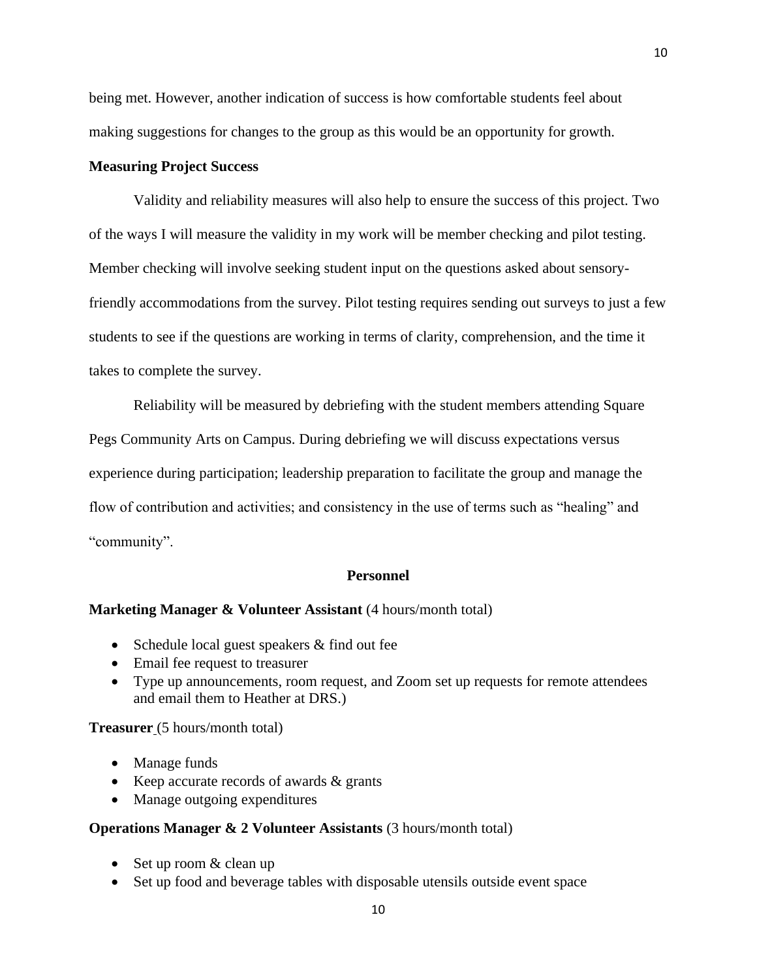being met. However, another indication of success is how comfortable students feel about making suggestions for changes to the group as this would be an opportunity for growth.

#### **Measuring Project Success**

Validity and reliability measures will also help to ensure the success of this project. Two of the ways I will measure the validity in my work will be member checking and pilot testing. Member checking will involve seeking student input on the questions asked about sensoryfriendly accommodations from the survey. Pilot testing requires sending out surveys to just a few students to see if the questions are working in terms of clarity, comprehension, and the time it takes to complete the survey.

Reliability will be measured by debriefing with the student members attending Square Pegs Community Arts on Campus. During debriefing we will discuss expectations versus experience during participation; leadership preparation to facilitate the group and manage the flow of contribution and activities; and consistency in the use of terms such as "healing" and "community".

#### **Personnel**

#### **Marketing Manager & Volunteer Assistant** (4 hours/month total)

- Schedule local guest speakers  $&$  find out fee
- Email fee request to treasurer
- Type up announcements, room request, and Zoom set up requests for remote attendees and email them to Heather at DRS.)

**Treasurer** (5 hours/month total)

- Manage funds
- Keep accurate records of awards & grants
- Manage outgoing expenditures

#### **Operations Manager & 2 Volunteer Assistants** (3 hours/month total)

- Set up room & clean up
- Set up food and beverage tables with disposable utensils outside event space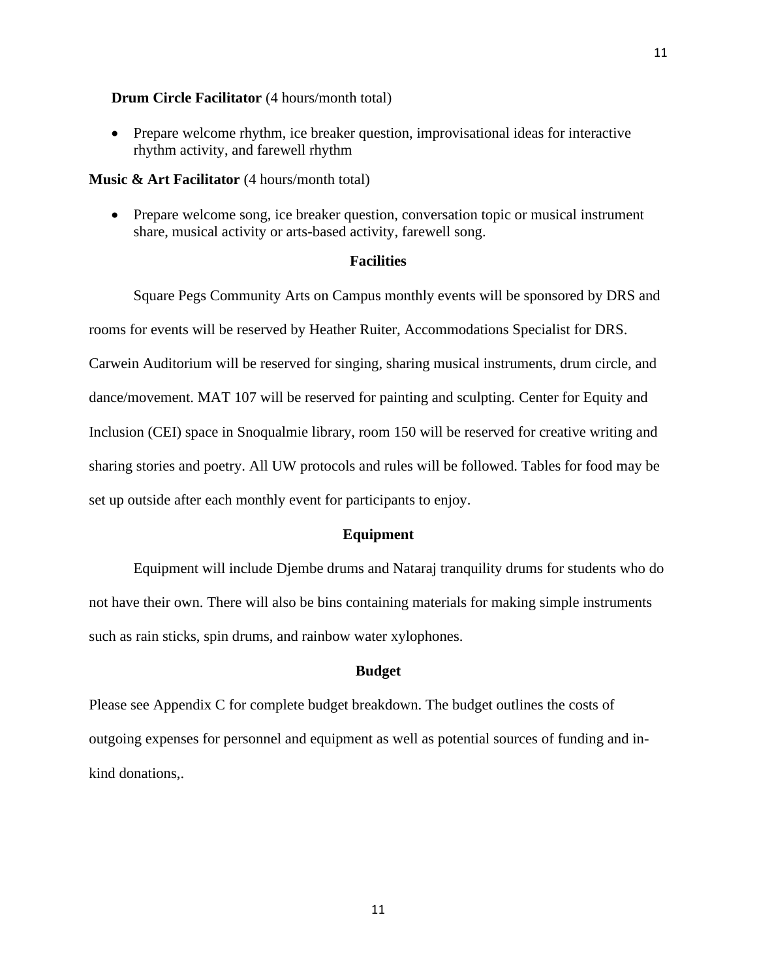#### **Drum Circle Facilitator** (4 hours/month total)

• Prepare welcome rhythm, ice breaker question, improvisational ideas for interactive rhythm activity, and farewell rhythm

#### **Music & Art Facilitator** (4 hours/month total)

• Prepare welcome song, ice breaker question, conversation topic or musical instrument share, musical activity or arts-based activity, farewell song.

#### **Facilities**

Square Pegs Community Arts on Campus monthly events will be sponsored by DRS and rooms for events will be reserved by Heather Ruiter, Accommodations Specialist for DRS. Carwein Auditorium will be reserved for singing, sharing musical instruments, drum circle, and dance/movement. MAT 107 will be reserved for painting and sculpting. Center for Equity and Inclusion (CEI) space in Snoqualmie library, room 150 will be reserved for creative writing and sharing stories and poetry. All UW protocols and rules will be followed. Tables for food may be set up outside after each monthly event for participants to enjoy.

#### **Equipment**

Equipment will include Djembe drums and Nataraj tranquility drums for students who do not have their own. There will also be bins containing materials for making simple instruments such as rain sticks, spin drums, and rainbow water xylophones.

#### **Budget**

Please see Appendix C for complete budget breakdown. The budget outlines the costs of outgoing expenses for personnel and equipment as well as potential sources of funding and inkind donations,.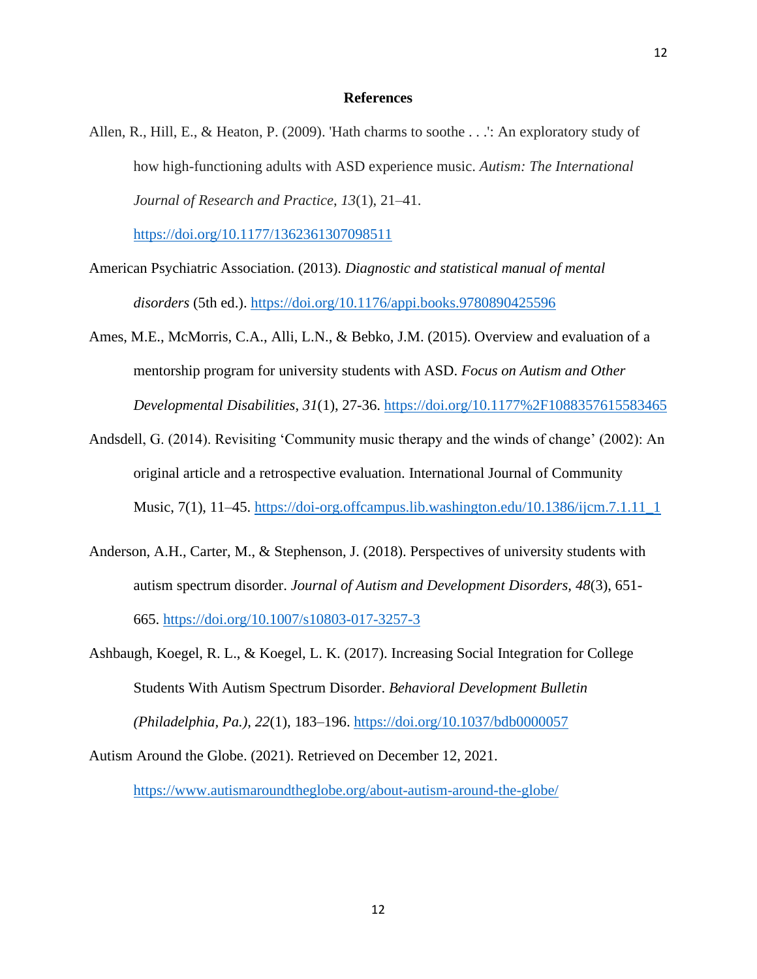#### **References**

Allen, R., Hill, E., & Heaton, P. (2009). 'Hath charms to soothe . . .': An exploratory study of how high-functioning adults with ASD experience music. *Autism: The International Journal of Research and Practice*, *13*(1), 21–41.

<https://doi.org/10.1177/1362361307098511>

- American Psychiatric Association. (2013). *Diagnostic and statistical manual of mental disorders* (5th ed.). <https://doi.org/10.1176/appi.books.9780890425596>
- Ames, M.E., McMorris, C.A., Alli, L.N., & Bebko, J.M. (2015). Overview and evaluation of a mentorship program for university students with ASD. *Focus on Autism and Other Developmental Disabilities*, *31*(1), 27-36.<https://doi.org/10.1177%2F1088357615583465>
- Andsdell, G. (2014). Revisiting 'Community music therapy and the winds of change' (2002): An original article and a retrospective evaluation. International Journal of Community Music,  $7(1)$ ,  $11-45$ . [https://doi-org.offcampus.lib.washington.edu/10.1386/ijcm.7.1.11\\_1](https://doi-org.offcampus.lib.washington.edu/10.1386/ijcm.7.1.11_1)
- Anderson, A.H., Carter, M., & Stephenson, J. (2018). Perspectives of university students with autism spectrum disorder. *Journal of Autism and Development Disorders, 48*(3), 651- 665.<https://doi.org/10.1007/s10803-017-3257-3>
- Ashbaugh, Koegel, R. L., & Koegel, L. K. (2017). Increasing Social Integration for College Students With Autism Spectrum Disorder. *Behavioral Development Bulletin (Philadelphia, Pa.)*, *22*(1), 183–196.<https://doi.org/10.1037/bdb0000057>

Autism Around the Globe. (2021). Retrieved on December 12, 2021.

<https://www.autismaroundtheglobe.org/about-autism-around-the-globe/>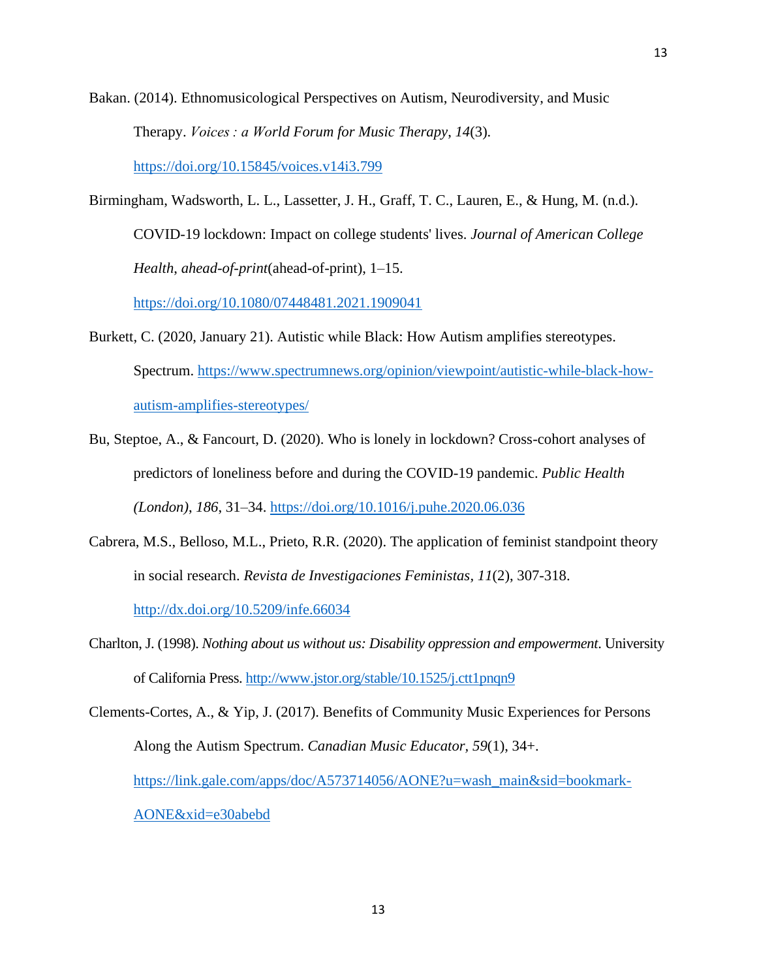- Bakan. (2014). Ethnomusicological Perspectives on Autism, Neurodiversity, and Music Therapy. *Voices : a World Forum for Music Therapy*, *14*(3). <https://doi.org/10.15845/voices.v14i3.799>
- Birmingham, Wadsworth, L. L., Lassetter, J. H., Graff, T. C., Lauren, E., & Hung, M. (n.d.). COVID-19 lockdown: Impact on college students' lives. *Journal of American College Health*, *ahead-of-print*(ahead-of-print), 1–15.

<https://doi.org/10.1080/07448481.2021.1909041>

- Burkett, C. (2020, January 21). Autistic while Black: How Autism amplifies stereotypes. Spectrum. [https://www.spectrumnews.org/opinion/viewpoint/autistic-while-black-how](https://www.spectrumnews.org/opinion/viewpoint/autistic-while-black-how-autism-amplifies-stereotypes/)[autism-amplifies-stereotypes/](https://www.spectrumnews.org/opinion/viewpoint/autistic-while-black-how-autism-amplifies-stereotypes/)
- Bu, Steptoe, A., & Fancourt, D. (2020). Who is lonely in lockdown? Cross-cohort analyses of predictors of loneliness before and during the COVID-19 pandemic. *Public Health (London)*, *186*, 31–34.<https://doi.org/10.1016/j.puhe.2020.06.036>
- Cabrera, M.S., Belloso, M.L., Prieto, R.R. (2020). The application of feminist standpoint theory in social research. *Revista de Investigaciones Feministas, 11*(2), 307-318.

<http://dx.doi.org/10.5209/infe.66034>

- Charlton, J. (1998). *Nothing about us without us: Disability oppression and empowerment*. University of California Press[. http://www.jstor.org/stable/10.1525/j.ctt1pnqn9](http://www.jstor.org/stable/10.1525/j.ctt1pnqn9)
- Clements-Cortes, A., & Yip, J. (2017). Benefits of Community Music Experiences for Persons Along the Autism Spectrum. *Canadian Music Educator, 59*(1), 34+. [https://link.gale.com/apps/doc/A573714056/AONE?u=wash\\_main&sid=bookmark-](https://link.gale.com/apps/doc/A573714056/AONE?u=wash_main&sid=bookmark-AONE&xid=e30abebd)[AONE&xid=e30abebd](https://link.gale.com/apps/doc/A573714056/AONE?u=wash_main&sid=bookmark-AONE&xid=e30abebd)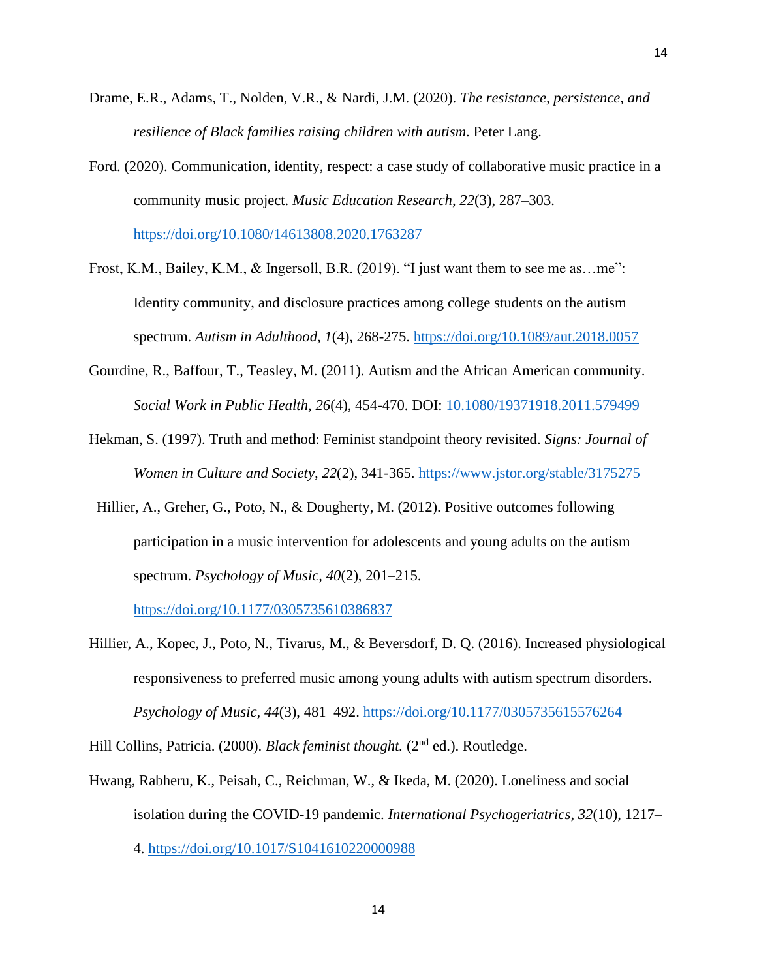- Drame, E.R., Adams, T., Nolden, V.R., & Nardi, J.M. (2020). *The resistance, persistence, and resilience of Black families raising children with autism*. Peter Lang.
- Ford. (2020). Communication, identity, respect: a case study of collaborative music practice in a community music project. *Music Education Research*, *22*(3), 287–303. <https://doi.org/10.1080/14613808.2020.1763287>

Frost, K.M., Bailey, K.M., & Ingersoll, B.R. (2019). "I just want them to see me as…me": Identity community, and disclosure practices among college students on the autism spectrum. *Autism in Adulthood, 1*(4), 268-275.<https://doi.org/10.1089/aut.2018.0057>

- Gourdine, R., Baffour, T., Teasley, M. (2011). Autism and the African American community. *Social Work in Public Health, 26*(4), 454-470. DOI: [10.1080/19371918.2011.579499](https://doi.org/10.1080/19371918.2011.579499)
- Hekman, S. (1997). Truth and method: Feminist standpoint theory revisited. *Signs: Journal of Women in Culture and Society, 22*(2), 341-365.<https://www.jstor.org/stable/3175275>
- Hillier, A., Greher, G., Poto, N., & Dougherty, M. (2012). Positive outcomes following participation in a music intervention for adolescents and young adults on the autism spectrum. *Psychology of Music, 40*(2), 201–215.

<https://doi.org/10.1177/0305735610386837>

Hillier, A., Kopec, J., Poto, N., Tivarus, M., & Beversdorf, D. Q. (2016). Increased physiological responsiveness to preferred music among young adults with autism spectrum disorders. *Psychology of Music, 44*(3), 481–492.<https://doi.org/10.1177/0305735615576264>

Hill Collins, Patricia. (2000). *Black feminist thought*. (2<sup>nd</sup> ed.). Routledge.

Hwang, Rabheru, K., Peisah, C., Reichman, W., & Ikeda, M. (2020). Loneliness and social isolation during the COVID-19 pandemic. *International Psychogeriatrics*, *32*(10), 1217– 4.<https://doi.org/10.1017/S1041610220000988>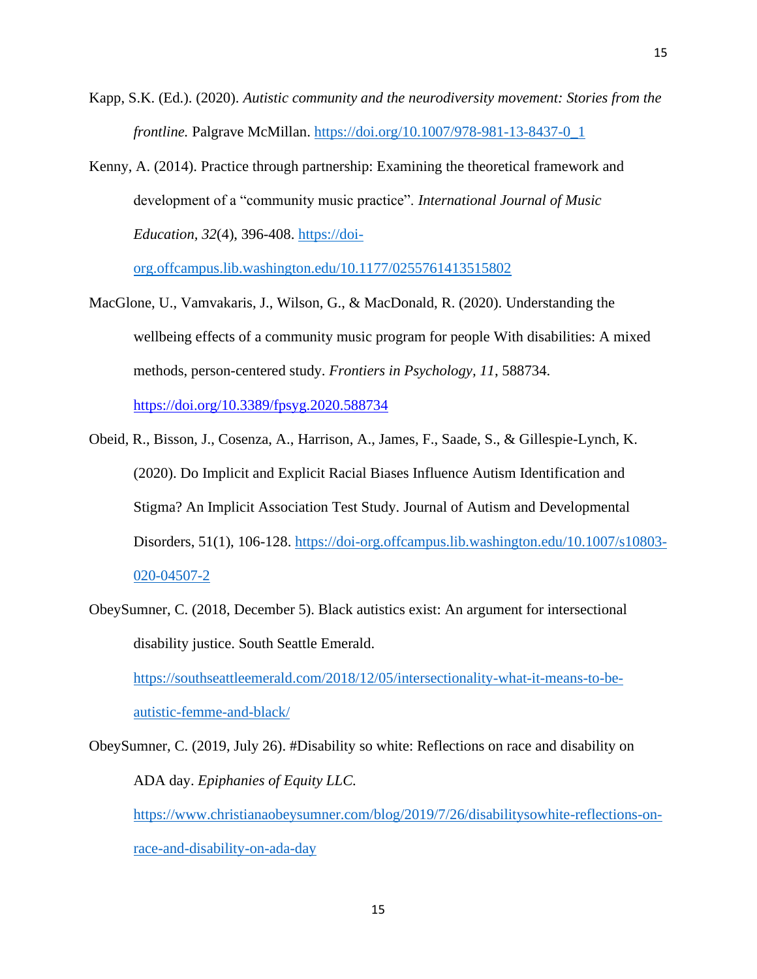- Kapp, S.K. (Ed.). (2020). *Autistic community and the neurodiversity movement: Stories from the frontline.* Palgrave McMillan. [https://doi.org/10.1007/978-981-13-8437-0\\_1](https://doi.org/10.1007/978-981-13-8437-0_1)
- Kenny, A. (2014). Practice through partnership: Examining the theoretical framework and development of a "community music practice". *International Journal of Music Education, 32*(4), 396-408. [https://doi-](https://doi-org.offcampus.lib.washington.edu/10.1177%2F0255761413515802)

[org.offcampus.lib.washington.edu/10.1177/0255761413515802](https://doi-org.offcampus.lib.washington.edu/10.1177%2F0255761413515802)

MacGlone, U., Vamvakaris, J., Wilson, G., & MacDonald, R. (2020). Understanding the wellbeing effects of a community music program for people With disabilities: A mixed methods, person-centered study. *Frontiers in Psychology, 11*, 588734. <https://doi.org/10.3389/fpsyg.2020.588734>

Obeid, R., Bisson, J., Cosenza, A., Harrison, A., James, F., Saade, S., & Gillespie-Lynch, K. (2020). Do Implicit and Explicit Racial Biases Influence Autism Identification and Stigma? An Implicit Association Test Study. Journal of Autism and Developmental Disorders, 51(1), 106-128. [https://doi-org.offcampus.lib.washington.edu/10.1007/s10803-](https://doi-org.offcampus.lib.washington.edu/10.1007/s10803-020-04507-2) [020-04507-2](https://doi-org.offcampus.lib.washington.edu/10.1007/s10803-020-04507-2)

ObeySumner, C. (2018, December 5). Black autistics exist: An argument for intersectional disability justice. South Seattle Emerald.

[https://southseattleemerald.com/2018/12/05/intersectionality-what-it-means-to-be](https://southseattleemerald.com/2018/12/05/intersectionality-what-it-means-to-be-autistic-femme-and-black/)[autistic-femme-and-black/](https://southseattleemerald.com/2018/12/05/intersectionality-what-it-means-to-be-autistic-femme-and-black/)

ObeySumner, C. (2019, July 26). #Disability so white: Reflections on race and disability on ADA day. *Epiphanies of Equity LLC.* [https://www.christianaobeysumner.com/blog/2019/7/26/disabilitysowhite-reflections-on](https://www.christianaobeysumner.com/blog/2019/7/26/disabilitysowhite-reflections-on-race-and-disability-on-ada-day)[race-and-disability-on-ada-day](https://www.christianaobeysumner.com/blog/2019/7/26/disabilitysowhite-reflections-on-race-and-disability-on-ada-day)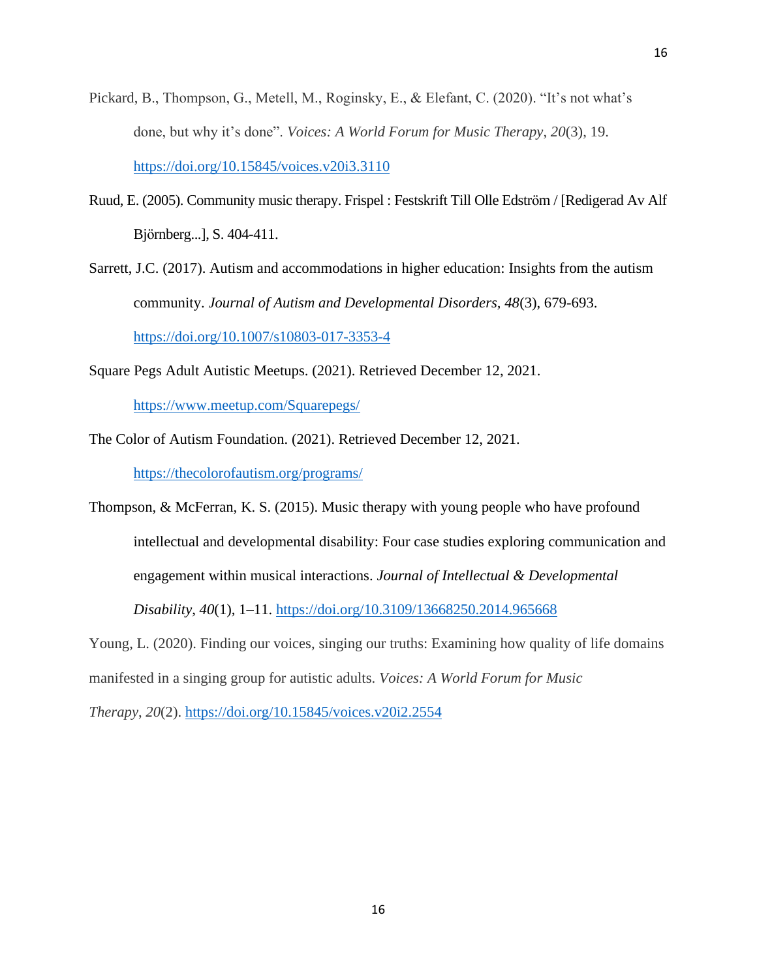- Pickard, B., Thompson, G., Metell, M., Roginsky, E., & Elefant, C. (2020). "It's not what's done, but why it's done". *Voices: A World Forum for Music Therapy*, *20*(3), 19. <https://doi.org/10.15845/voices.v20i3.3110>
- Ruud, E. (2005). Community music therapy. Frispel : Festskrift Till Olle Edström / [Redigerad Av Alf Björnberg...], S. 404-411.
- Sarrett, J.C. (2017). Autism and accommodations in higher education: Insights from the autism community. *Journal of Autism and Developmental Disorders, 48*(3), 679-693. <https://doi.org/10.1007/s10803-017-3353-4>
- Square Pegs Adult Autistic Meetups. (2021). Retrieved December 12, 2021.

<https://www.meetup.com/Squarepegs/>

The Color of Autism Foundation. (2021). Retrieved December 12, 2021.

<https://thecolorofautism.org/programs/>

Thompson, & McFerran, K. S. (2015). Music therapy with young people who have profound intellectual and developmental disability: Four case studies exploring communication and engagement within musical interactions. *Journal of Intellectual & Developmental* 

*Disability*, *40*(1), 1–11.<https://doi.org/10.3109/13668250.2014.965668>

Young, L. (2020). Finding our voices, singing our truths: Examining how quality of life domains manifested in a singing group for autistic adults. *Voices: A World Forum for Music* 

*Therapy*, *20*(2).<https://doi.org/10.15845/voices.v20i2.2554>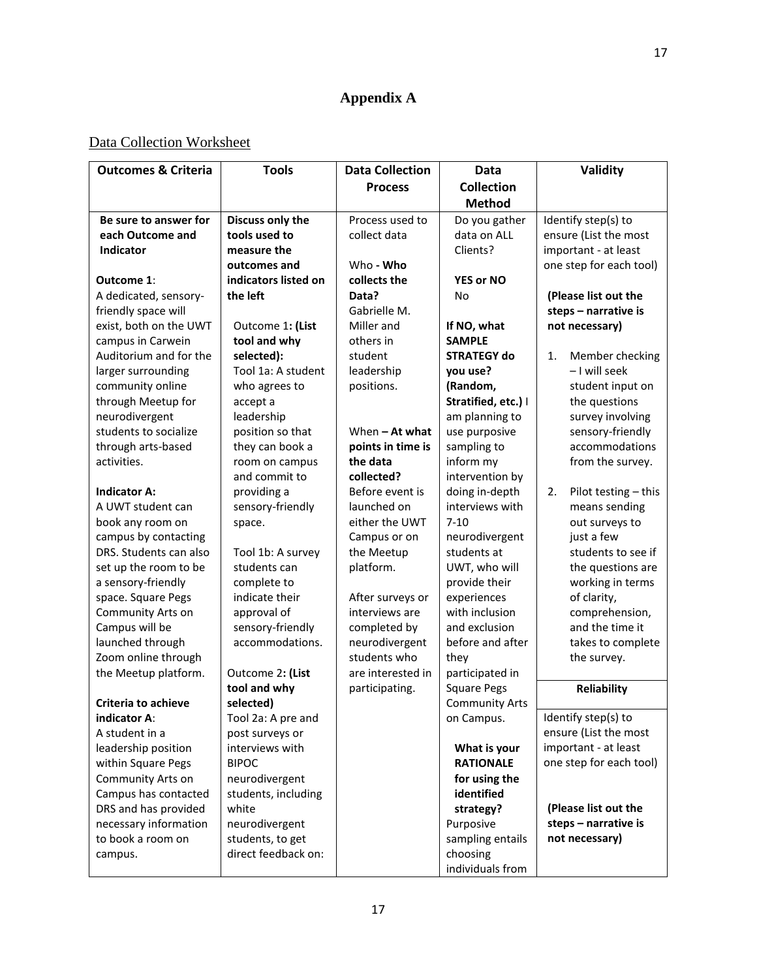## **Appendix A**

### Data Collection Worksheet

| <b>Outcomes &amp; Criteria</b> | <b>Tools</b>         | <b>Data Collection</b> | Data                  | Validity                               |  |
|--------------------------------|----------------------|------------------------|-----------------------|----------------------------------------|--|
|                                |                      | <b>Process</b>         | <b>Collection</b>     |                                        |  |
|                                |                      |                        | <b>Method</b>         |                                        |  |
| Be sure to answer for          | Discuss only the     | Process used to        | Do you gather         | Identify step(s) to                    |  |
| each Outcome and               | tools used to        | collect data           | data on ALL           | ensure (List the most                  |  |
| <b>Indicator</b>               | measure the          |                        | Clients?              | important - at least                   |  |
|                                | outcomes and         | Who - Who              |                       | one step for each tool)                |  |
| Outcome 1:                     | indicators listed on | collects the           | <b>YES or NO</b>      |                                        |  |
| A dedicated, sensory-          | the left             | Data?                  | No                    | (Please list out the                   |  |
| friendly space will            |                      | Gabrielle M.           |                       | steps - narrative is                   |  |
| exist, both on the UWT         | Outcome 1: (List     | Miller and             | If NO, what           | not necessary)                         |  |
| campus in Carwein              | tool and why         | others in              | <b>SAMPLE</b>         |                                        |  |
| Auditorium and for the         | selected):           | student                | <b>STRATEGY do</b>    | 1.<br>Member checking                  |  |
| larger surrounding             | Tool 1a: A student   | leadership             | you use?              | - I will seek                          |  |
| community online               | who agrees to        | positions.             | (Random,              | student input on                       |  |
| through Meetup for             | accept a             |                        | Stratified, etc.)     | the questions                          |  |
| neurodivergent                 | leadership           |                        | am planning to        | survey involving                       |  |
| students to socialize          | position so that     | When $-$ At what       | use purposive         | sensory-friendly                       |  |
| through arts-based             | they can book a      | points in time is      | sampling to           | accommodations                         |  |
| activities.                    | room on campus       | the data               | inform my             | from the survey.                       |  |
|                                | and commit to        | collected?             | intervention by       |                                        |  |
| <b>Indicator A:</b>            | providing a          | Before event is        | doing in-depth        | Pilot testing - this<br>2.             |  |
| A UWT student can              | sensory-friendly     | launched on            | interviews with       | means sending                          |  |
| book any room on               | space.               | either the UWT         | $7 - 10$              | out surveys to                         |  |
| campus by contacting           |                      | Campus or on           | neurodivergent        | just a few                             |  |
| DRS. Students can also         | Tool 1b: A survey    | the Meetup             | students at           | students to see if                     |  |
| set up the room to be          | students can         | platform.              | UWT, who will         | the questions are                      |  |
| a sensory-friendly             | complete to          |                        | provide their         | working in terms                       |  |
| space. Square Pegs             | indicate their       | After surveys or       | experiences           | of clarity,                            |  |
| Community Arts on              | approval of          | interviews are         | with inclusion        | comprehension,                         |  |
| Campus will be                 | sensory-friendly     | completed by           | and exclusion         | and the time it                        |  |
| launched through               | accommodations.      | neurodivergent         | before and after      | takes to complete                      |  |
| Zoom online through            |                      | students who           | they                  | the survey.                            |  |
| the Meetup platform.           | Outcome 2: (List     | are interested in      | participated in       |                                        |  |
|                                | tool and why         | participating.         | <b>Square Pegs</b>    | Reliability                            |  |
| <b>Criteria to achieve</b>     | selected)            |                        | <b>Community Arts</b> |                                        |  |
| indicator A:                   | Tool 2a: A pre and   |                        | on Campus.            | Identify step(s) to                    |  |
| A student in a                 | post surveys or      |                        |                       | ensure (List the most                  |  |
| leadership position            | interviews with      |                        | What is your          | important - at least                   |  |
| within Square Pegs             | <b>BIPOC</b>         |                        | <b>RATIONALE</b>      | one step for each tool)                |  |
| Community Arts on              | neurodivergent       |                        | for using the         |                                        |  |
| Campus has contacted           | students, including  |                        | identified            |                                        |  |
| DRS and has provided           | white                |                        | strategy?             | (Please list out the                   |  |
| necessary information          | neurodivergent       |                        | Purposive             | steps - narrative is<br>not necessary) |  |
| to book a room on              | students, to get     |                        | sampling entails      |                                        |  |
| campus.                        | direct feedback on:  |                        | choosing              |                                        |  |
|                                |                      |                        | individuals from      |                                        |  |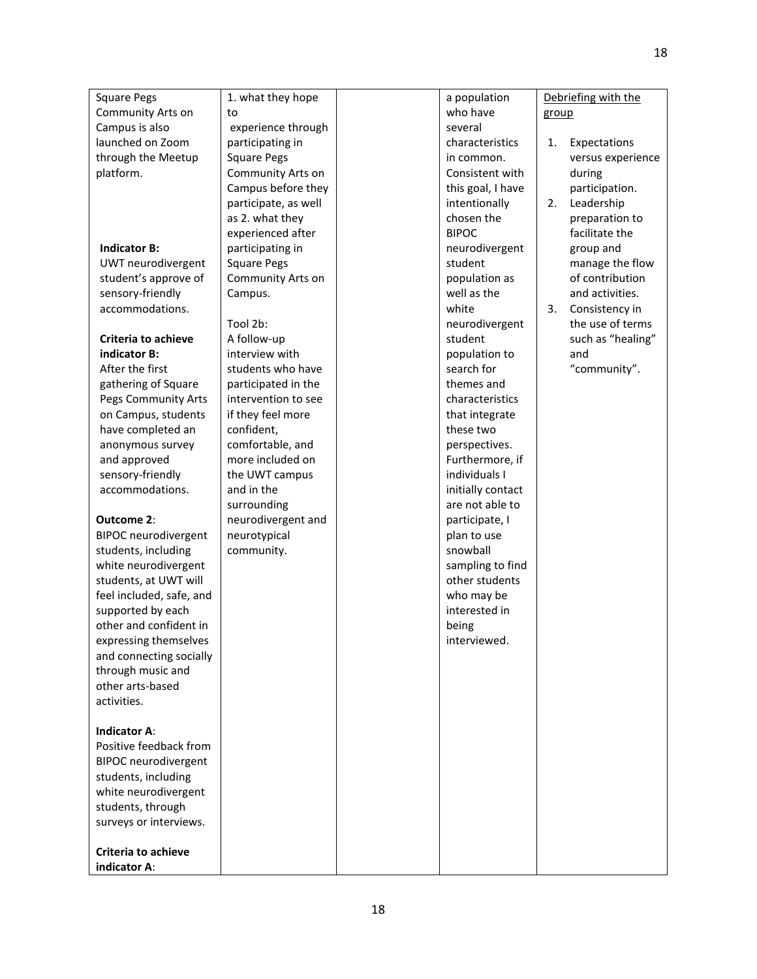| <b>Square Pegs</b>                         | 1. what they hope    | a population      |       | Debriefing with the |
|--------------------------------------------|----------------------|-------------------|-------|---------------------|
| Community Arts on                          | to                   | who have          | group |                     |
| Campus is also                             | experience through   | several           |       |                     |
| launched on Zoom                           | participating in     | characteristics   | 1.    | Expectations        |
| through the Meetup                         | <b>Square Pegs</b>   | in common.        |       | versus experience   |
| platform.                                  | Community Arts on    | Consistent with   |       | during              |
|                                            | Campus before they   | this goal, I have |       | participation.      |
|                                            | participate, as well | intentionally     | 2.    | Leadership          |
|                                            | as 2. what they      | chosen the        |       | preparation to      |
|                                            | experienced after    | <b>BIPOC</b>      |       | facilitate the      |
| <b>Indicator B:</b>                        | participating in     | neurodivergent    |       | group and           |
| UWT neurodivergent                         | <b>Square Pegs</b>   | student           |       | manage the flow     |
| student's approve of                       | Community Arts on    | population as     |       | of contribution     |
| sensory-friendly                           | Campus.              | well as the       |       | and activities.     |
| accommodations.                            |                      | white             | 3.    | Consistency in      |
|                                            | Tool 2b:             | neurodivergent    |       | the use of terms    |
| <b>Criteria to achieve</b>                 | A follow-up          | student           |       | such as "healing"   |
| indicator B:                               | interview with       | population to     |       | and                 |
| After the first                            | students who have    | search for        |       | "community".        |
| gathering of Square                        | participated in the  | themes and        |       |                     |
| Pegs Community Arts                        | intervention to see  | characteristics   |       |                     |
| on Campus, students                        | if they feel more    | that integrate    |       |                     |
| have completed an                          | confident,           | these two         |       |                     |
| anonymous survey                           | comfortable, and     | perspectives.     |       |                     |
| and approved                               | more included on     | Furthermore, if   |       |                     |
| sensory-friendly                           | the UWT campus       | individuals I     |       |                     |
| accommodations.                            | and in the           | initially contact |       |                     |
|                                            | surrounding          | are not able to   |       |                     |
| Outcome 2:                                 | neurodivergent and   | participate, I    |       |                     |
| <b>BIPOC</b> neurodivergent                | neurotypical         | plan to use       |       |                     |
| students, including                        | community.           | snowball          |       |                     |
| white neurodivergent                       |                      | sampling to find  |       |                     |
| students, at UWT will                      |                      | other students    |       |                     |
| feel included, safe, and                   |                      | who may be        |       |                     |
| supported by each                          |                      | interested in     |       |                     |
| other and confident in                     |                      | being             |       |                     |
| expressing themselves                      |                      | interviewed.      |       |                     |
| and connecting socially                    |                      |                   |       |                     |
| through music and                          |                      |                   |       |                     |
| other arts-based                           |                      |                   |       |                     |
| activities.                                |                      |                   |       |                     |
|                                            |                      |                   |       |                     |
| <b>Indicator A:</b>                        |                      |                   |       |                     |
| Positive feedback from                     |                      |                   |       |                     |
| <b>BIPOC</b> neurodivergent                |                      |                   |       |                     |
| students, including                        |                      |                   |       |                     |
| white neurodivergent                       |                      |                   |       |                     |
| students, through                          |                      |                   |       |                     |
| surveys or interviews.                     |                      |                   |       |                     |
|                                            |                      |                   |       |                     |
| <b>Criteria to achieve</b><br>indicator A: |                      |                   |       |                     |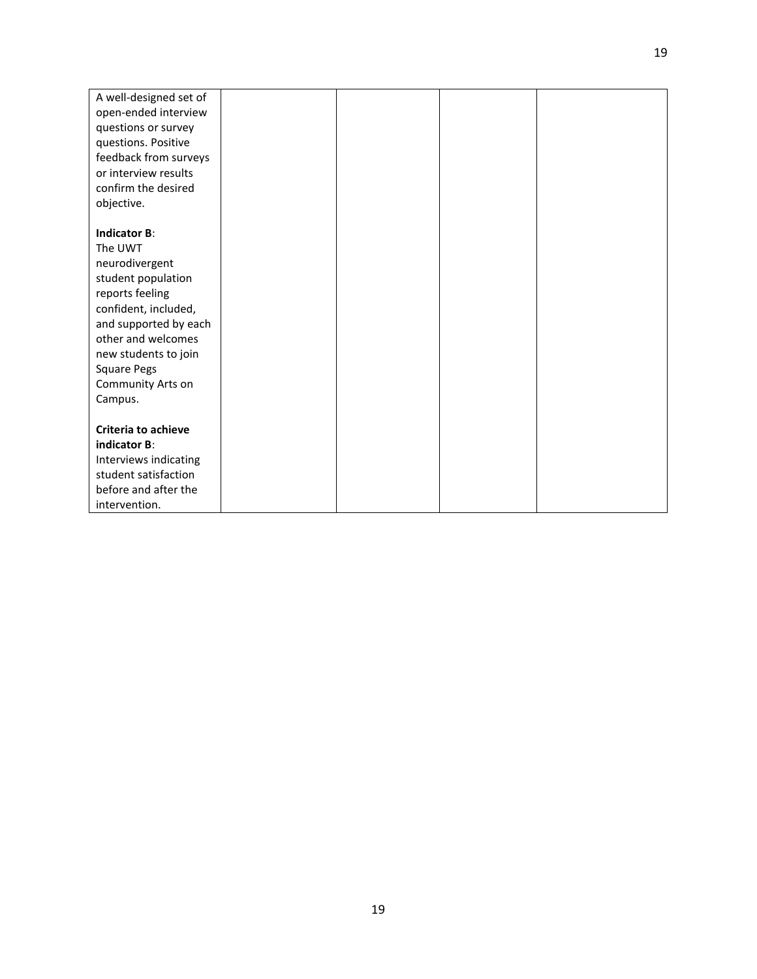| A well-designed set of     |  |  |
|----------------------------|--|--|
| open-ended interview       |  |  |
| questions or survey        |  |  |
| questions. Positive        |  |  |
| feedback from surveys      |  |  |
| or interview results       |  |  |
| confirm the desired        |  |  |
| objective.                 |  |  |
|                            |  |  |
| <b>Indicator B:</b>        |  |  |
| The UWT                    |  |  |
| neurodivergent             |  |  |
| student population         |  |  |
| reports feeling            |  |  |
| confident, included,       |  |  |
| and supported by each      |  |  |
| other and welcomes         |  |  |
| new students to join       |  |  |
| <b>Square Pegs</b>         |  |  |
| Community Arts on          |  |  |
| Campus.                    |  |  |
| <b>Criteria to achieve</b> |  |  |
| indicator B:               |  |  |
| Interviews indicating      |  |  |
| student satisfaction       |  |  |
| before and after the       |  |  |
| intervention.              |  |  |
|                            |  |  |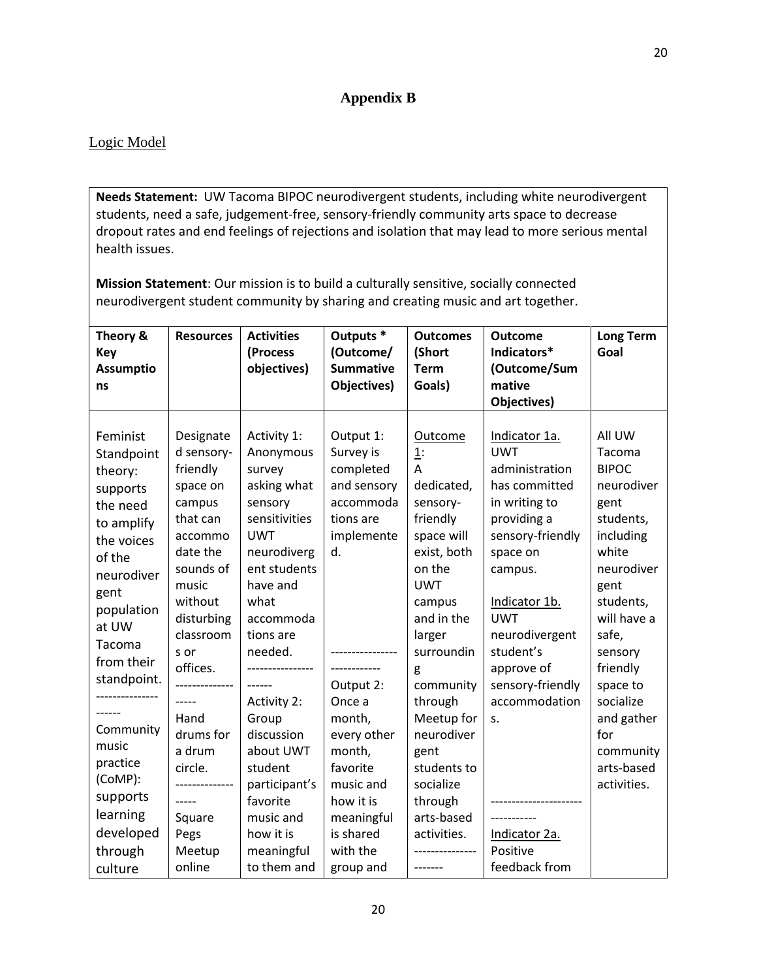### **Appendix B**

### Logic Model

**Needs Statement:** UW Tacoma BIPOC neurodivergent students, including white neurodivergent students, need a safe, judgement-free, sensory-friendly community arts space to decrease dropout rates and end feelings of rejections and isolation that may lead to more serious mental health issues.

**Mission Statement**: Our mission is to build a culturally sensitive, socially connected neurodivergent student community by sharing and creating music and art together.

| Theory &<br><b>Key</b><br><b>Assumptio</b><br>ns                                                                                                                                                                                                                                                      | <b>Resources</b>                                                                                                                                                                                                                                                                                  | <b>Activities</b><br>(Process<br>objectives)                                                                                                                                                                                                                                                                                                    | Outputs <sup>*</sup><br>(Outcome/<br><b>Summative</b><br>Objectives)                                                                                                                                                                                                                    | <b>Outcomes</b><br>(Short<br><b>Term</b><br>Goals)                                                                                                                                                                                                                                                                               | <b>Outcome</b><br>Indicators*<br>(Outcome/Sum<br>mative<br>Objectives)                                                                                                                                                                                                                                         | <b>Long Term</b><br>Goal                                                                                                                                                                                                                                            |
|-------------------------------------------------------------------------------------------------------------------------------------------------------------------------------------------------------------------------------------------------------------------------------------------------------|---------------------------------------------------------------------------------------------------------------------------------------------------------------------------------------------------------------------------------------------------------------------------------------------------|-------------------------------------------------------------------------------------------------------------------------------------------------------------------------------------------------------------------------------------------------------------------------------------------------------------------------------------------------|-----------------------------------------------------------------------------------------------------------------------------------------------------------------------------------------------------------------------------------------------------------------------------------------|----------------------------------------------------------------------------------------------------------------------------------------------------------------------------------------------------------------------------------------------------------------------------------------------------------------------------------|----------------------------------------------------------------------------------------------------------------------------------------------------------------------------------------------------------------------------------------------------------------------------------------------------------------|---------------------------------------------------------------------------------------------------------------------------------------------------------------------------------------------------------------------------------------------------------------------|
| Feminist<br>Standpoint<br>theory:<br>supports<br>the need<br>to amplify<br>the voices<br>of the<br>neurodiver<br>gent<br>population<br>at UW<br>Tacoma<br>from their<br>standpoint.<br>------<br>Community<br>music<br>practice<br>(CoMP):<br>supports<br>learning<br>developed<br>through<br>culture | Designate<br>d sensory-<br>friendly<br>space on<br>campus<br>that can<br>accommo<br>date the<br>sounds of<br>music<br>without<br>disturbing<br>classroom<br>s or<br>offices.<br>------<br>Hand<br>drums for<br>a drum<br>circle.<br>--------------<br>$---$<br>Square<br>Pegs<br>Meetup<br>online | Activity 1:<br>Anonymous<br>survey<br>asking what<br>sensory<br>sensitivities<br><b>UWT</b><br>neurodiverg<br>ent students<br>have and<br>what<br>accommoda<br>tions are<br>needed.<br>------<br>Activity 2:<br>Group<br>discussion<br>about UWT<br>student<br>participant's<br>favorite<br>music and<br>how it is<br>meaningful<br>to them and | Output 1:<br>Survey is<br>completed<br>and sensory<br>accommoda<br>tions are<br>implemente<br>d.<br>--------------<br>-------------<br>Output 2:<br>Once a<br>month,<br>every other<br>month,<br>favorite<br>music and<br>how it is<br>meaningful<br>is shared<br>with the<br>group and | Outcome<br>1:<br>A<br>dedicated,<br>sensory-<br>friendly<br>space will<br>exist, both<br>on the<br><b>UWT</b><br>campus<br>and in the<br>larger<br>surroundin<br>g<br>community<br>through<br>Meetup for<br>neurodiver<br>gent<br>students to<br>socialize<br>through<br>arts-based<br>activities.<br>--------------<br>-------- | Indicator 1a.<br><b>UWT</b><br>administration<br>has committed<br>in writing to<br>providing a<br>sensory-friendly<br>space on<br>campus.<br>Indicator 1b.<br><b>UWT</b><br>neurodivergent<br>student's<br>approve of<br>sensory-friendly<br>accommodation<br>S.<br>Indicator 2a.<br>Positive<br>feedback from | All UW<br>Tacoma<br><b>BIPOC</b><br>neurodiver<br>gent<br>students,<br>including<br>white<br>neurodiver<br>gent<br>students,<br>will have a<br>safe,<br>sensory<br>friendly<br>space to<br>socialize<br>and gather<br>for<br>community<br>arts-based<br>activities. |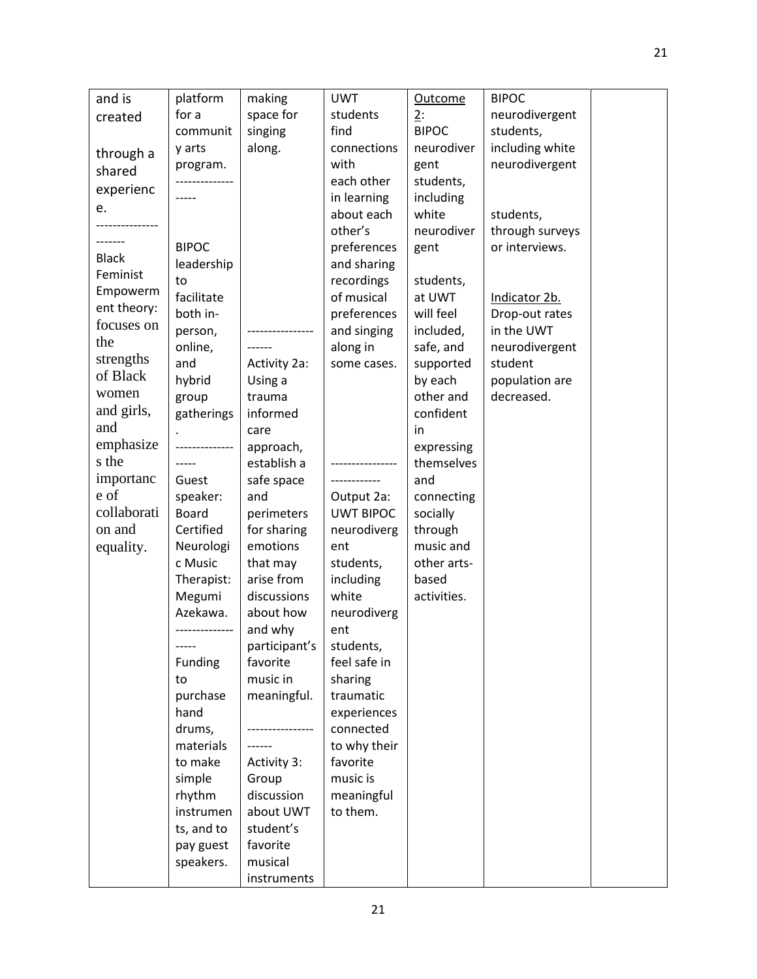| and is                  | platform             | making               | <b>UWT</b>             | <b>Outcome</b>           | <b>BIPOC</b>    |  |
|-------------------------|----------------------|----------------------|------------------------|--------------------------|-----------------|--|
| created                 | for a                | space for            | students               | 2:                       | neurodivergent  |  |
|                         | communit             | singing              | find                   | <b>BIPOC</b>             | students,       |  |
| through a               | y arts               | along.               | connections            | neurodiver               | including white |  |
| shared                  | program.             |                      | with                   | gent                     | neurodivergent  |  |
| experienc               |                      |                      | each other             | students,                |                 |  |
|                         |                      |                      | in learning            | including                |                 |  |
| e.                      |                      |                      | about each             | white                    | students,       |  |
|                         |                      |                      | other's                | neurodiver               | through surveys |  |
| ------<br><b>Black</b>  | <b>BIPOC</b>         |                      | preferences            | gent                     | or interviews.  |  |
| Feminist                | leadership           |                      | and sharing            |                          |                 |  |
|                         | to                   |                      | recordings             | students,                |                 |  |
| Empowerm<br>ent theory: | facilitate           |                      | of musical             | at UWT                   | Indicator 2b.   |  |
| focuses on              | both in-             |                      | preferences            | will feel                | Drop-out rates  |  |
|                         | person,              |                      | and singing            | included,                | in the UWT      |  |
| the                     | online,              |                      | along in               | safe, and                | neurodivergent  |  |
| strengths<br>of Black   | and                  | Activity 2a:         | some cases.            | supported                | student         |  |
|                         | hybrid               | Using a              |                        | by each                  | population are  |  |
| women                   | group                | trauma               |                        | other and                | decreased.      |  |
| and girls,              | gatherings           | informed             |                        | confident                |                 |  |
| and                     |                      | care                 |                        | in                       |                 |  |
| emphasize               |                      | approach,            |                        | expressing               |                 |  |
| s the                   |                      | establish a          |                        | themselves               |                 |  |
| importanc               | Guest                | safe space           |                        | and                      |                 |  |
| e of                    | speaker:             | and                  | Output 2a:             | connecting               |                 |  |
| collaborati             | <b>Board</b>         | perimeters           | <b>UWT BIPOC</b>       | socially                 |                 |  |
| on and                  | Certified            | for sharing          | neurodiverg            | through                  |                 |  |
| equality.               | Neurologi<br>c Music | emotions<br>that may | ent                    | music and<br>other arts- |                 |  |
|                         | Therapist:           | arise from           | students,<br>including | based                    |                 |  |
|                         | Megumi               | discussions          | white                  | activities.              |                 |  |
|                         | Azekawa.             | about how            | neurodiverg            |                          |                 |  |
|                         | -------------        | and why              | ent                    |                          |                 |  |
|                         | -----                | participant's        | students,              |                          |                 |  |
|                         | Funding              | favorite             | feel safe in           |                          |                 |  |
|                         | to                   | music in             | sharing                |                          |                 |  |
|                         | purchase             | meaningful.          | traumatic              |                          |                 |  |
|                         | hand                 |                      | experiences            |                          |                 |  |
|                         | drums,               |                      | connected              |                          |                 |  |
|                         | materials            |                      | to why their           |                          |                 |  |
|                         | to make              | Activity 3:          | favorite               |                          |                 |  |
|                         | simple               | Group                | music is               |                          |                 |  |
|                         | rhythm               | discussion           | meaningful             |                          |                 |  |
|                         | instrumen            | about UWT            | to them.               |                          |                 |  |
|                         | ts, and to           | student's            |                        |                          |                 |  |
|                         | pay guest            | favorite             |                        |                          |                 |  |
|                         | speakers.            | musical              |                        |                          |                 |  |
|                         |                      | instruments          |                        |                          |                 |  |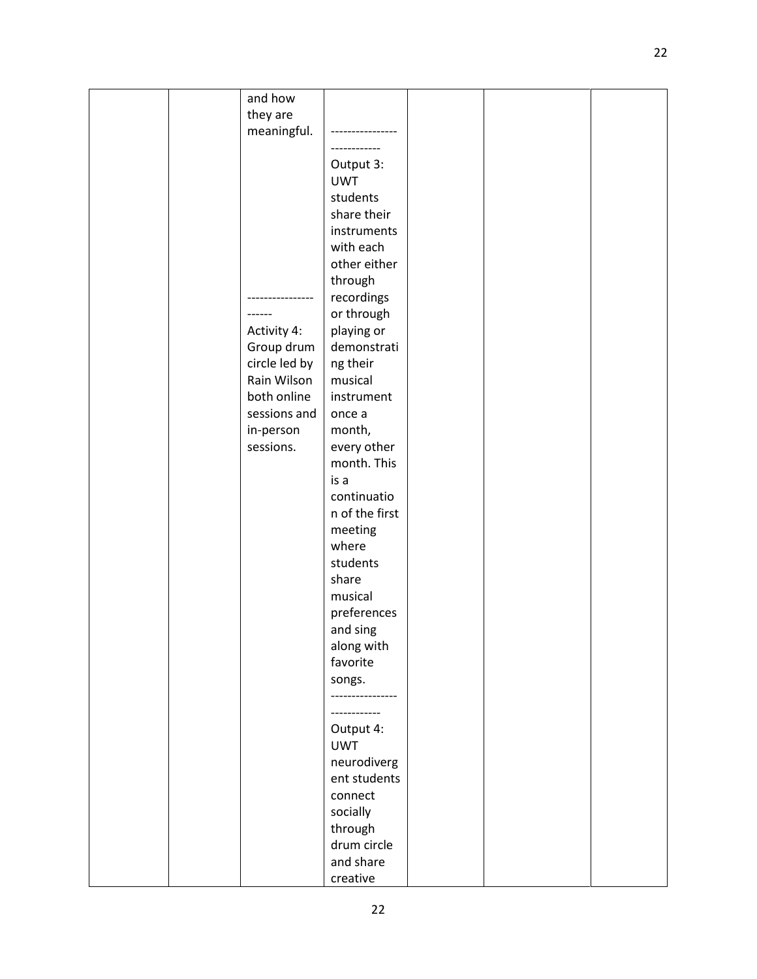|  | and how       |                |  |  |
|--|---------------|----------------|--|--|
|  | they are      |                |  |  |
|  |               |                |  |  |
|  | meaningful.   |                |  |  |
|  |               |                |  |  |
|  |               | Output 3:      |  |  |
|  |               |                |  |  |
|  |               | <b>UWT</b>     |  |  |
|  |               | students       |  |  |
|  |               | share their    |  |  |
|  |               | instruments    |  |  |
|  |               |                |  |  |
|  |               | with each      |  |  |
|  |               | other either   |  |  |
|  |               | through        |  |  |
|  |               |                |  |  |
|  |               | recordings     |  |  |
|  | ----          | or through     |  |  |
|  | Activity 4:   | playing or     |  |  |
|  | Group drum    | demonstrati    |  |  |
|  |               |                |  |  |
|  | circle led by | ng their       |  |  |
|  | Rain Wilson   | musical        |  |  |
|  | both online   | instrument     |  |  |
|  | sessions and  | once a         |  |  |
|  |               |                |  |  |
|  | in-person     | month,         |  |  |
|  | sessions.     | every other    |  |  |
|  |               | month. This    |  |  |
|  |               | is a           |  |  |
|  |               |                |  |  |
|  |               | continuatio    |  |  |
|  |               | n of the first |  |  |
|  |               | meeting        |  |  |
|  |               |                |  |  |
|  |               | where          |  |  |
|  |               | students       |  |  |
|  |               | share          |  |  |
|  |               | musical        |  |  |
|  |               |                |  |  |
|  |               | preferences    |  |  |
|  |               | and sing       |  |  |
|  |               | along with     |  |  |
|  |               | favorite       |  |  |
|  |               |                |  |  |
|  |               | songs.         |  |  |
|  |               |                |  |  |
|  |               |                |  |  |
|  |               |                |  |  |
|  |               | Output 4:      |  |  |
|  |               | <b>UWT</b>     |  |  |
|  |               | neurodiverg    |  |  |
|  |               | ent students   |  |  |
|  |               | connect        |  |  |
|  |               |                |  |  |
|  |               | socially       |  |  |
|  |               | through        |  |  |
|  |               | drum circle    |  |  |
|  |               | and share      |  |  |
|  |               |                |  |  |
|  |               | creative       |  |  |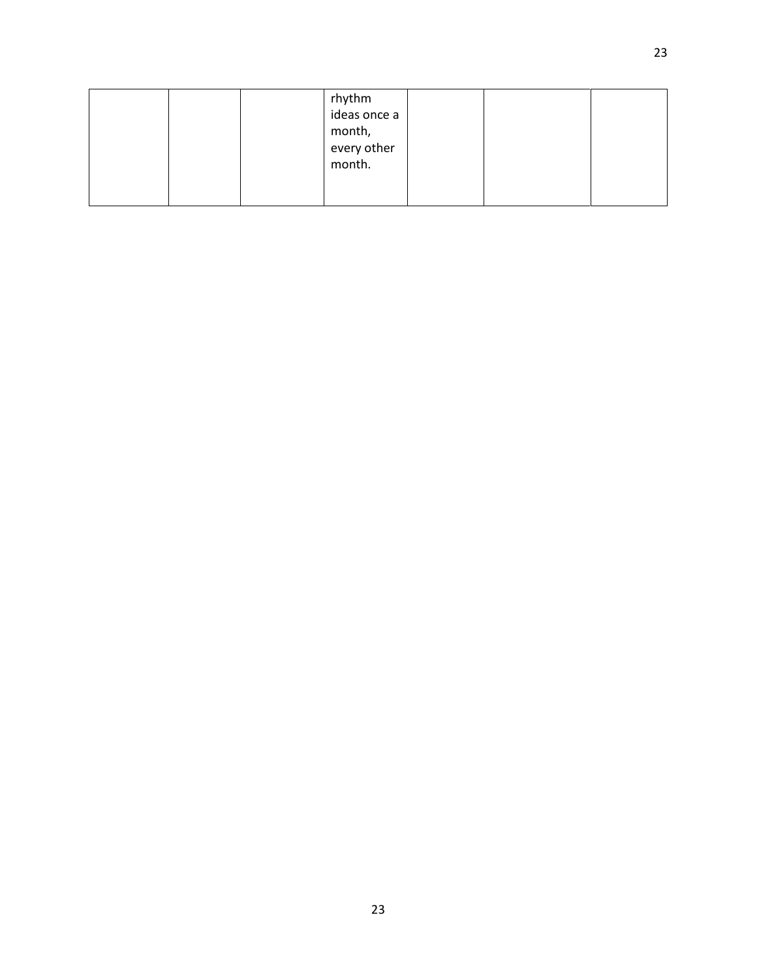|  | rhythm<br>ideas once a          |  |  |
|--|---------------------------------|--|--|
|  | month,<br>every other<br>month. |  |  |
|  |                                 |  |  |